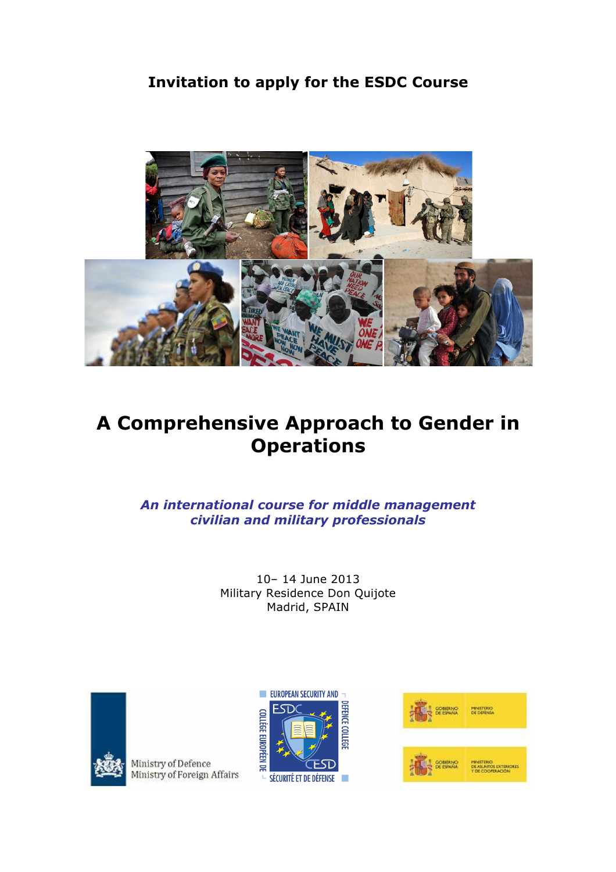**Invitation to apply for the ESDC Course**



# **A Comprehensive Approach to Gender in Operations**

*An international course for middle management civilian and military professionals*

> 10– 14 June 2013 Military Residence Don Quijote Madrid, SPAIN



Ministry of Defence Ministry of Foreign Affairs



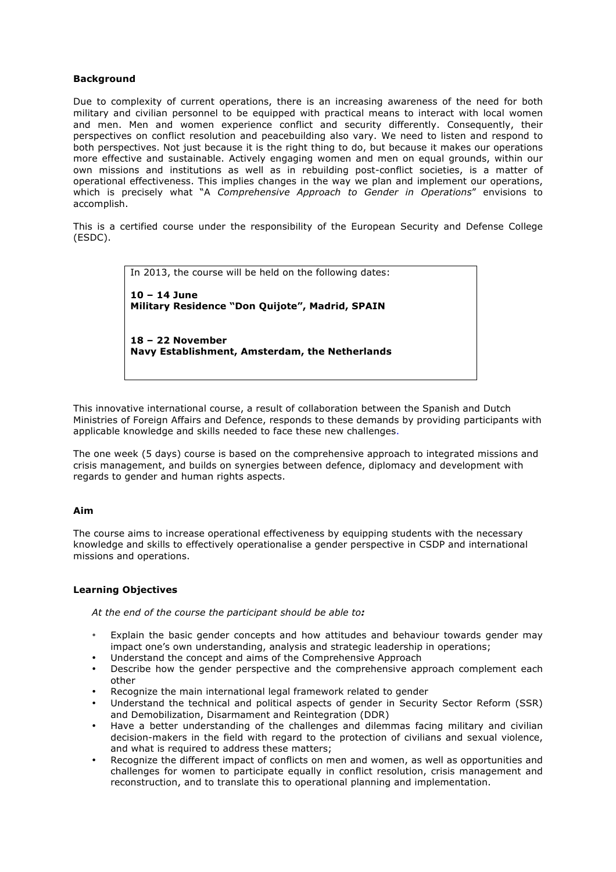## **Background**

Due to complexity of current operations, there is an increasing awareness of the need for both military and civilian personnel to be equipped with practical means to interact with local women and men. Men and women experience conflict and security differently. Consequently, their perspectives on conflict resolution and peacebuilding also vary. We need to listen and respond to both perspectives. Not just because it is the right thing to do, but because it makes our operations more effective and sustainable. Actively engaging women and men on equal grounds, within our own missions and institutions as well as in rebuilding post-conflict societies, is a matter of operational effectiveness. This implies changes in the way we plan and implement our operations, which is precisely what "A *Comprehensive Approach to Gender in Operations*" envisions to accomplish.

This is a certified course under the responsibility of the European Security and Defense College (ESDC).

> In 2013, the course will be held on the following dates: **10 – 14 June Military Residence "Don Quijote", Madrid, SPAIN 18 – 22 November Navy Establishment, Amsterdam, the Netherlands**

This innovative international course, a result of collaboration between the Spanish and Dutch Ministries of Foreign Affairs and Defence, responds to these demands by providing participants with applicable knowledge and skills needed to face these new challenges.

The one week (5 days) course is based on the comprehensive approach to integrated missions and crisis management, and builds on synergies between defence, diplomacy and development with regards to gender and human rights aspects.

## **Aim**

The course aims to increase operational effectiveness by equipping students with the necessary knowledge and skills to effectively operationalise a gender perspective in CSDP and international missions and operations.

## **Learning Objectives**

*At the end of the course the participant should be able to:* 

- Explain the basic gender concepts and how attitudes and behaviour towards gender may impact one's own understanding, analysis and strategic leadership in operations;
- Understand the concept and aims of the Comprehensive Approach
- Describe how the gender perspective and the comprehensive approach complement each other
- Recognize the main international legal framework related to gender
- Understand the technical and political aspects of gender in Security Sector Reform (SSR) and Demobilization, Disarmament and Reintegration (DDR)
- Have a better understanding of the challenges and dilemmas facing military and civilian decision-makers in the field with regard to the protection of civilians and sexual violence, and what is required to address these matters;
- Recognize the different impact of conflicts on men and women, as well as opportunities and challenges for women to participate equally in conflict resolution, crisis management and reconstruction, and to translate this to operational planning and implementation.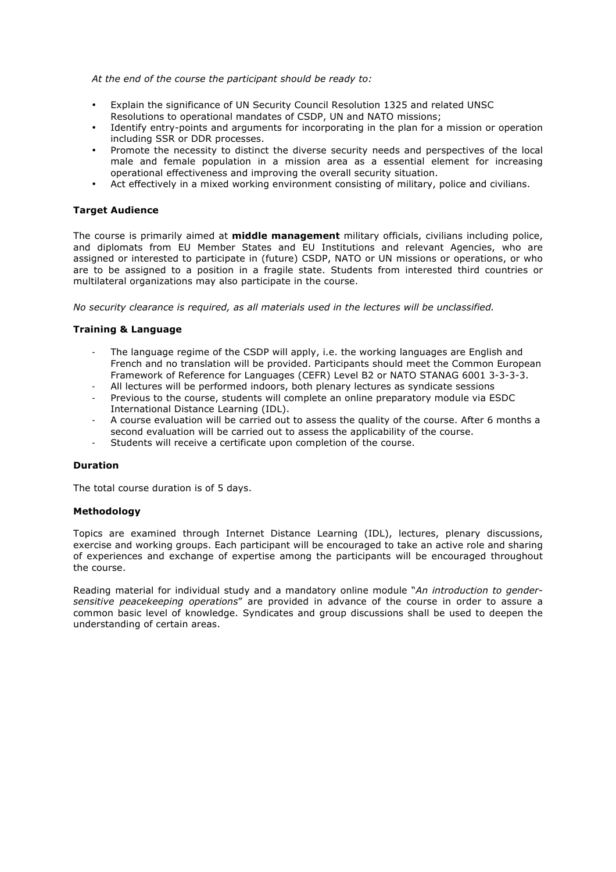## *At the end of the course the participant should be ready to:*

- Explain the significance of UN Security Council Resolution 1325 and related UNSC Resolutions to operational mandates of CSDP, UN and NATO missions;
- Identify entry-points and arguments for incorporating in the plan for a mission or operation including SSR or DDR processes.
- Promote the necessity to distinct the diverse security needs and perspectives of the local male and female population in a mission area as a essential element for increasing operational effectiveness and improving the overall security situation.
- Act effectively in a mixed working environment consisting of military, police and civilians.

# **Target Audience**

The course is primarily aimed at **middle management** military officials, civilians including police, and diplomats from EU Member States and EU Institutions and relevant Agencies, who are assigned or interested to participate in (future) CSDP, NATO or UN missions or operations, or who are to be assigned to a position in a fragile state. Students from interested third countries or multilateral organizations may also participate in the course.

*No security clearance is required, as all materials used in the lectures will be unclassified.*

# **Training & Language**

- The language regime of the CSDP will apply, i.e. the working languages are English and French and no translation will be provided. Participants should meet the Common European Framework of Reference for Languages (CEFR) Level B2 or NATO STANAG 6001 3-3-3-3.
- All lectures will be performed indoors, both plenary lectures as syndicate sessions
- Previous to the course, students will complete an online preparatory module via ESDC International Distance Learning (IDL).
- A course evaluation will be carried out to assess the quality of the course. After 6 months a second evaluation will be carried out to assess the applicability of the course.
- Students will receive a certificate upon completion of the course.

## **Duration**

The total course duration is of 5 days.

## **Methodology**

Topics are examined through Internet Distance Learning (IDL), lectures, plenary discussions, exercise and working groups. Each participant will be encouraged to take an active role and sharing of experiences and exchange of expertise among the participants will be encouraged throughout the course.

Reading material for individual study and a mandatory online module "*An introduction to gendersensitive peacekeeping operations*" are provided in advance of the course in order to assure a common basic level of knowledge. Syndicates and group discussions shall be used to deepen the understanding of certain areas.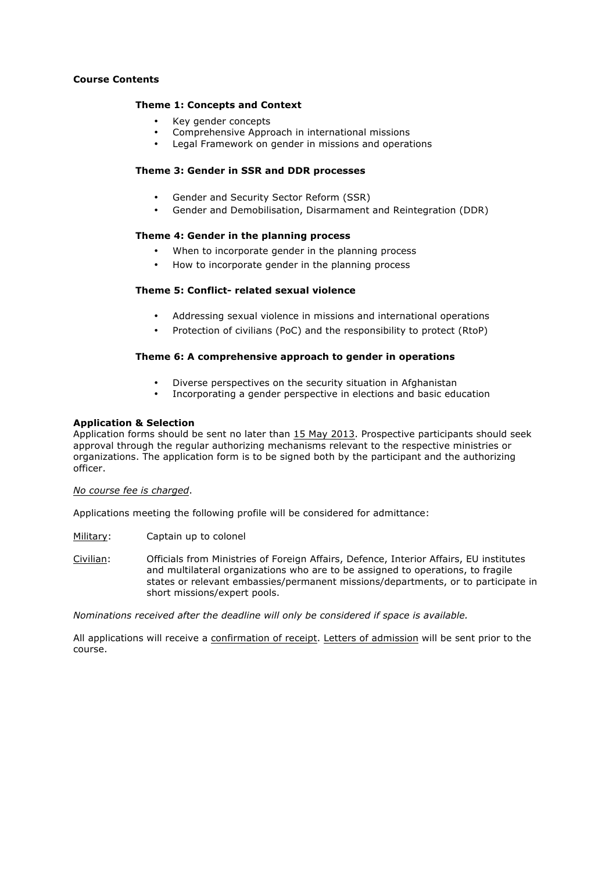## **Course Contents**

#### **Theme 1: Concepts and Context**

- Key gender concepts
- Comprehensive Approach in international missions
- Legal Framework on gender in missions and operations

## **Theme 3: Gender in SSR and DDR processes**

- Gender and Security Sector Reform (SSR)
- Gender and Demobilisation, Disarmament and Reintegration (DDR)

## **Theme 4: Gender in the planning process**

- When to incorporate gender in the planning process
- How to incorporate gender in the planning process

# **Theme 5: Conflict- related sexual violence**

- Addressing sexual violence in missions and international operations
- Protection of civilians (PoC) and the responsibility to protect (RtoP)

## **Theme 6: A comprehensive approach to gender in operations**

- Diverse perspectives on the security situation in Afghanistan
- Incorporating a gender perspective in elections and basic education

#### **Application & Selection**

Application forms should be sent no later than 15 May 2013. Prospective participants should seek approval through the regular authorizing mechanisms relevant to the respective ministries or organizations. The application form is to be signed both by the participant and the authorizing officer.

#### *No course fee is charged*.

Applications meeting the following profile will be considered for admittance:

Military: Captain up to colonel

Civilian: Officials from Ministries of Foreign Affairs, Defence, Interior Affairs, EU institutes and multilateral organizations who are to be assigned to operations, to fragile states or relevant embassies/permanent missions/departments, or to participate in short missions/expert pools.

*Nominations received after the deadline will only be considered if space is available.* 

All applications will receive a confirmation of receipt. Letters of admission will be sent prior to the course.